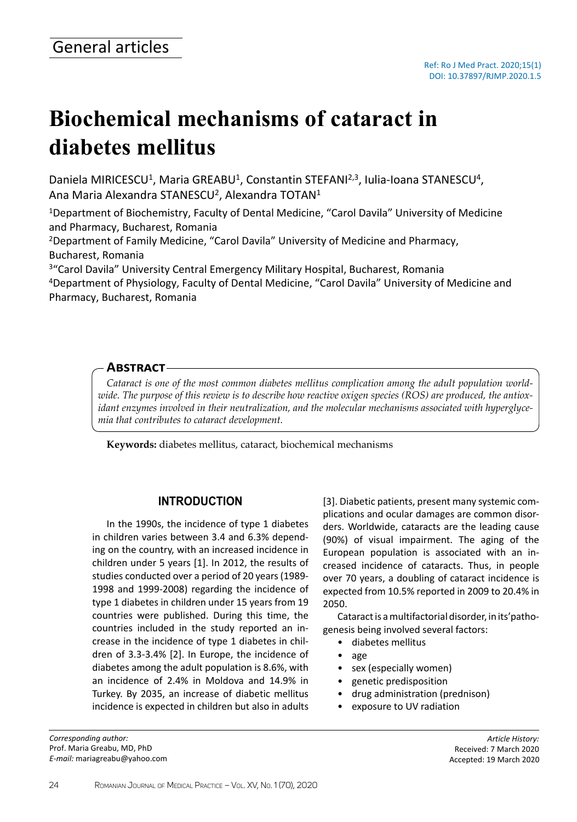# **Biochemical mechanisms of cataract in diabetes mellitus**

Daniela MIRICESCU<sup>1</sup>, Maria GREABU<sup>1</sup>, Constantin STEFANI<sup>2,3</sup>, Iulia-Ioana STANESCU<sup>4</sup>, Ana Maria Alexandra STANESCU<sup>2</sup>, Alexandra TOTAN<sup>1</sup>

<sup>1</sup>Department of Biochemistry, Faculty of Dental Medicine, "Carol Davila" University of Medicine and Pharmacy, Bucharest, Romania

<sup>2</sup>Department of Family Medicine, "Carol Davila" University of Medicine and Pharmacy, Bucharest, Romania

<sup>3</sup>"Carol Davila" University Central Emergency Military Hospital, Bucharest, Romania <sup>4</sup>Department of Physiology, Faculty of Dental Medicine, "Carol Davila" University of Medicine and Pharmacy, Bucharest, Romania

## **Abstract**

*Cataract is one of the most common diabetes mellitus complication among the adult population worldwide. The purpose of this review is to describe how reactive oxigen species (ROS) are produced, the antioxidant enzymes involved in their neutralization, and the molecular mechanisms associated with hyperglycemia that contributes to cataract development.*

**Keywords:** diabetes mellitus, cataract, biochemical mechanisms

# **INTRODUCTION**

In the 1990s, the incidence of type 1 diabetes in children varies between 3.4 and 6.3% depending on the country, with an increased incidence in children under 5 years [1]. In 2012, the results of studies conducted over a period of 20 years (1989- 1998 and 1999-2008) regarding the incidence of type 1 diabetes in children under 15 years from 19 countries were published. During this time, the countries included in the study reported an increase in the incidence of type 1 diabetes in children of 3.3-3.4% [2]. In Europe, the incidence of diabetes among the adult population is 8.6%, with an incidence of 2.4% in Moldova and 14.9% in Turkey. By 2035, an increase of diabetic mellitus incidence is expected in children but also in adults

*Corresponding author:* Prof. Maria Greabu, MD, PhD *E-mail:* mariagreabu@yahoo.com [3]. Diabetic patients, present many systemic complications and ocular damages are common disorders. Worldwide, cataracts are the leading cause (90%) of visual impairment. The aging of the European population is associated with an increased incidence of cataracts. Thus, in people over 70 years, a doubling of cataract incidence is expected from 10.5% reported in 2009 to 20.4% in 2050.

Cataract is a multifactorial disorder, in its'pathogenesis being involved several factors:

- diabetes mellitus
- age
- sex (especially women)
- genetic predisposition
- drug administration (prednison)
- exposure to UV radiation

*Article History:* Received: 7 March 2020 Accepted: 19 March 2020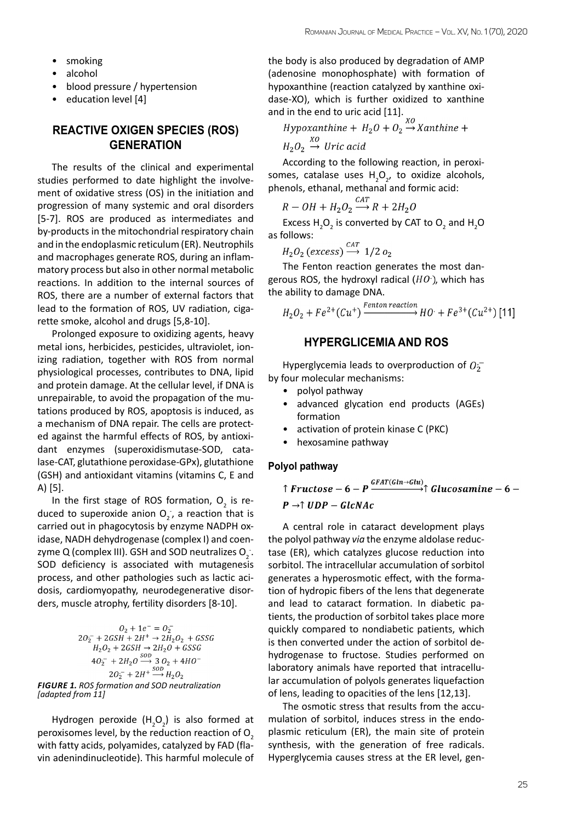- smoking
- alcohol
- blood pressure / hypertension
- education level [4]

## **REACTIVE OXIGEN SPECIES (ROS) GENERATION**

The results of the clinical and experimental studies performed to date highlight the involvement of oxidative stress (OS) in the initiation and progression of many systemic and oral disorders [5-7]. ROS are produced as intermediates and by-products in the mitochondrial respiratory chain and in the endoplasmic reticulum (ER). Neutrophils and macrophages generate ROS, during an inflammatory process but also in other normal metabolic reactions. In addition to the internal sources of ROS, there are a number of external factors that lead to the formation of ROS, UV radiation, cigarette smoke, alcohol and drugs [5,8-10].

Prolonged exposure to oxidizing agents, heavy metal ions, herbicides, pesticides, ultraviolet, ionizing radiation, together with ROS from normal physiological processes, contributes to DNA, lipid and protein damage. At the cellular level, if DNA is unrepairable, to avoid the propagation of the mutations produced by ROS, apoptosis is induced, as a mechanism of DNA repair. The cells are protected against the harmful effects of ROS, by antioxidant enzymes (superoxidismutase-SOD, catalase-CAT, glutathione peroxidase-GPx), glutathione (GSH) and antioxidant vitamins (vitamins C, E and A) [5].

In the first stage of ROS formation,  $O_2$  is reduced to superoxide anion  $O_2^-$ , a reaction that is carried out in phagocytosis by enzyme NADPH oxidase, NADH dehydrogenase (complex I) and coenzyme Q (complex III). GSH and SOD neutralizes  $O_2$  . SOD deficiency is associated with mutagenesis process, and other pathologies such as lactic acidosis, cardiomyopathy, neurodegenerative disorders, muscle atrophy, fertility disorders [8-10].

$$
O_2 + 1e^- = O_2^-
$$
  
\n
$$
2O_2^- + 2GSH + 2H^+ \rightarrow 2H_2O_2 + GSSG
$$
  
\n
$$
H_2O_2 + 2GSH \rightarrow 2H_2O + GSSG
$$
  
\n
$$
4O_2^- + 2H_2O \stackrel{SOD}{\longrightarrow} 3O_2 + 4HO^-
$$
  
\n
$$
2O_2^- + 2H^+ \stackrel{SOD}{\longrightarrow} H_2O_2
$$
  
\nFIGURE 1. ROS formation and SOD neutralization  
\n[adapted from 11]

Hydrogen peroxide  $(H_2O_2)$  is also formed at peroxisomes level, by the reduction reaction of  $O<sub>2</sub>$ with fatty acids, polyamides, catalyzed by FAD (flavin adenindinucleotide). This harmful molecule of

the body is also produced by degradation of AMP (adenosine monophosphate) with formation of hypoxanthine (reaction catalyzed by xanthine oxidase-XO), which is further oxidized to xanthine

and in the end to uric acid [11].<br>  $Hypoxanthine + H_2O + O_2 \rightarrow Xanthine +$  $H_2O_2 \stackrel{XO}{\rightarrow} Uric \; acid$ 

According to the following reaction, in peroxisomes, catalase uses  $H_2O_{2'}$  to oxidize alcohols, phenols, ethanal, methanal and formic acid:

$$
R - OH + H_2O_2 \xrightarrow{CAI} R + 2H_2O
$$

Excess  $H_2O_2$  is converted by CAT to  $O_2$  and  $H_2O$ as follows:

$$
H_2O_2 \text{ (excess)} \xrightarrow{CAT} 1/2 o_2
$$

The Fenton reaction generates the most dangerous ROS, the hydroxyl radical  $(HO)$ , which has the ability to damage DNA.

$$
H_2O_2 + Fe^{2+}(Cu^+) \xrightarrow{Fenton reaction} HO^+ + Fe^{3+}(Cu^{2+})
$$
[11]

# **HYPERGLICEMIA AND ROS**

Hyperglycemia leads to overproduction of  $0<sub>2</sub>$ by four molecular mechanisms:

- polyol pathway
- advanced glycation end products (AGEs) formation
- activation of protein kinase C (PKC)
- hexosamine pathway

#### **Polyol pathway**

↑ Fructose – 6 – P $\frac{GFAT(Gln\rightarrow Glu)}{T}$ î Glucosamine – 6 –  $P \rightarrow \uparrow UDP - GlcNAc$ 

A central role in cataract development plays the polyol pathway *via* the enzyme aldolase reductase (ER), which catalyzes glucose reduction into sorbitol. The intracellular accumulation of sorbitol generates a hyperosmotic effect, with the formation of hydropic fibers of the lens that degenerate and lead to cataract formation. In diabetic patients, the production of sorbitol takes place more quickly compared to nondiabetic patients, which is then converted under the action of sorbitol dehydrogenase to fructose. Studies performed on laboratory animals have reported that intracellular accumulation of polyols generates liquefaction of lens, leading to opacities of the lens [12,13].

The osmotic stress that results from the accumulation of sorbitol, induces stress in the endoplasmic reticulum (ER), the main site of protein synthesis, with the generation of free radicals. Hyperglycemia causes stress at the ER level, gen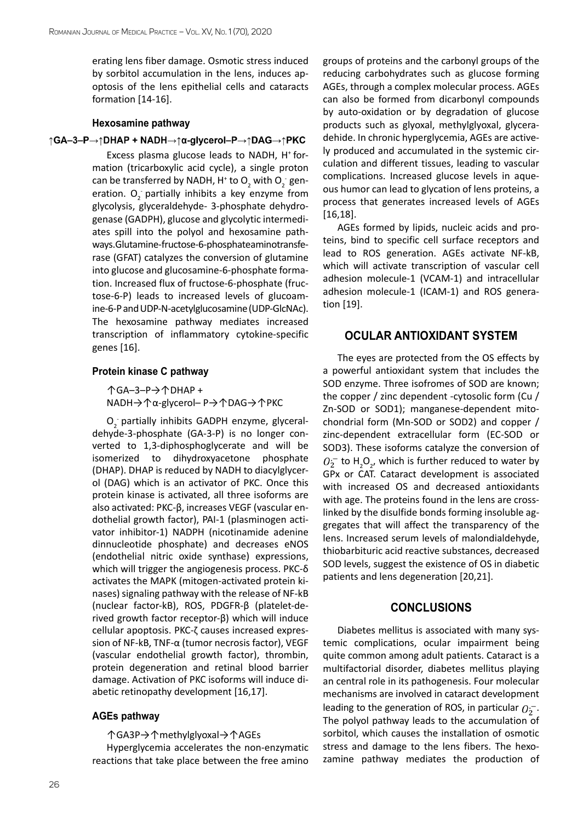erating lens fiber damage. Osmotic stress induced by sorbitol accumulation in the lens, induces apoptosis of the lens epithelial cells and cataracts formation [14-16].

#### **Hexosamine pathway**

#### ↑GA-3-P→↑DHAP + NADH→↑α-glycerol-P→↑DAG→↑PKC

Excess plasma glucose leads to NADH, H<sup>+</sup> formation (tricarboxylic acid cycle), a single proton can be transferred by NADH, H<sup>+</sup> to  $O_2$  with  $O_2^-$  generation.  $O_2^-$  partially inhibits a key enzyme from glycolysis, glyceraldehyde- 3-phosphate dehydrogenase (GADPH), glucose and glycolytic intermediates spill into the polyol and hexosamine pathways. Glutamine-fructose-6-phosphate aminotransferase (GFAT) catalyzes the conversion of glutamine into glucose and glucosamine-6-phosphate formation. Increased flux of fructose-6-phosphate (fructose-6-P) leads to increased levels of glucoamine-6-P and UDP-N-acetylglucosamine (UDP-GlcNAc). The hexosamine pathway mediates increased transcription of inflammatory cytokine-specific genes [16].

#### **Protein kinase C pathway**

↑GA–3–P→↑DHAP + NADH→↑α-glycerol– P→↑DAG→↑PKC

 $O_2^-$  partially inhibits GADPH enzyme, glyceraldehyde-3-phosphate (GA-3-P) is no longer converted to 1,3-diphosphoglycerate and will be isomerized to dihydroxyacetone phosphate (DHAP). DHAP is reduced by NADH to diacylglycerol (DAG) which is an activator of PKC. Once this protein kinase is activated, all three isoforms are also activated: PKC-β, increases VEGF (vascular endothelial growth factor), PAI-1 (plasminogen activator inhibitor-1) NADPH (nicotinamide adenine dinnucleotide phosphate) and decreases eNOS (endothelial nitric oxide synthase) expressions, which will trigger the angiogenesis process. PKC-δ activates the MAPK [\(mitogen-activated protein ki](https://en.wikipedia.org/wiki/Mitogen-activated_protein_kinase)[nases\)](https://en.wikipedia.org/wiki/Mitogen-activated_protein_kinase) signaling pathway with the release of NF-kB (nuclear factor-kB), ROS, PDGFR-β (platelet-derived growth factor receptor-β) which will induce cellular apoptosis. PKC-ζ causes increased expression of NF-kB, TNF-α (tumor necrosis factor), VEGF (vascular endothelial growth factor), thrombin, protein degeneration and retinal blood barrier damage. Activation of PKC isoforms will induce diabetic retinopathy development [16,17].

#### **AGEs pathway**

↑GA3P→↑methylglyoxal→↑AGEs

Hyperglycemia accelerates the non-enzymatic reactions that take place between the free amino groups of proteins and the carbonyl groups of the reducing carbohydrates such as glucose forming AGEs, through a complex molecular process. AGEs can also be formed from dicarbonyl compounds by auto-oxidation or by degradation of glucose products such as glyoxal, methylglyoxal, glyceradehide. In chronic hyperglycemia, AGEs are actively produced and accumulated in the systemic circulation and different tissues, leading to vascular complications. Increased glucose levels in aqueous humor can lead to glycation of lens proteins, a process that generates increased levels of AGEs [16,18].

AGEs formed by lipids, nucleic acids and proteins, bind to specific cell surface receptors and lead to ROS generation. AGEs activate NF-kB, which will activate transcription of vascular cell adhesion molecule-1 (VCAM-1) and intracellular adhesion molecule-1 (ICAM-1) and ROS generation [19].

## **OCULAR ANTIOXIDANT SYSTEM**

The eyes are protected from the OS effects by a powerful antioxidant system that includes the SOD enzyme. Three isofromes of SOD are known; the copper / zinc dependent -cytosolic form (Cu / Zn-SOD or SOD1); manganese-dependent mitochondrial form (Mn-SOD or SOD2) and copper / zinc-dependent extracellular form (EC-SOD or SOD3). These isoforms catalyze the conversion of to  $H_2O_{2'}$  which is further reduced to water by GPx or CAT. Cataract development is associated with increased OS and decreased antioxidants with age. The proteins found in the lens are crosslinked by the disulfide bonds forming insoluble aggregates that will affect the transparency of the lens. Increased serum levels of malondialdehyde, thiobarbituric acid reactive substances, decreased SOD levels, suggest the existence of OS in diabetic patients and lens degeneration [20,21].

## **CONCLUSIONS**

Diabetes mellitus is associated with many systemic complications, ocular impairment being quite common among adult patients. Cataract is a multifactorial disorder, diabetes mellitus playing an central role in its pathogenesis. Four molecular mechanisms are involved in cataract development leading to the generation of ROS, in particular  $0.7$ . The polyol pathway leads to the accumulation of sorbitol, which causes the installation of osmotic stress and damage to the lens fibers. The hexozamine pathway mediates the production of